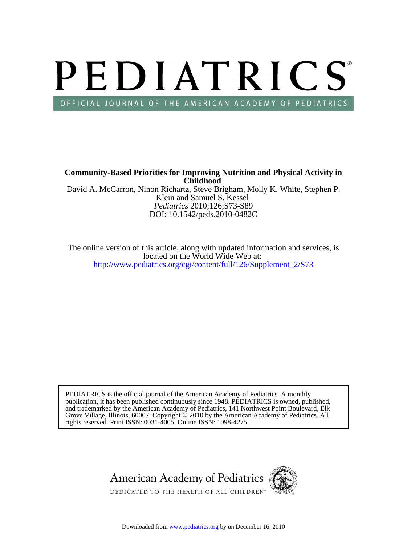# PEDIATRICS OFFICIAL JOURNAL OF THE AMERICAN ACADEMY OF PEDIATRICS

David A. McCarron, Ninon Richartz, Steve Brigham, Molly K. White, Stephen P. **Childhood Community-Based Priorities for Improving Nutrition and Physical Activity in**

DOI: 10.1542/peds.2010-0482C *Pediatrics* 2010;126;S73-S89 Klein and Samuel S. Kessel

[http://www.pediatrics.org/cgi/content/full/126/Supplement\\_2/S73](http://www.pediatrics.org/cgi/content/full/126/Supplement_2/S73) located on the World Wide Web at: The online version of this article, along with updated information and services, is

rights reserved. Print ISSN: 0031-4005. Online ISSN: 1098-4275. Grove Village, Illinois, 60007. Copyright  $\ddot{\odot}$  2010 by the American Academy of Pediatrics. All and trademarked by the American Academy of Pediatrics, 141 Northwest Point Boulevard, Elk publication, it has been published continuously since 1948. PEDIATRICS is owned, published, PEDIATRICS is the official journal of the American Academy of Pediatrics. A monthly

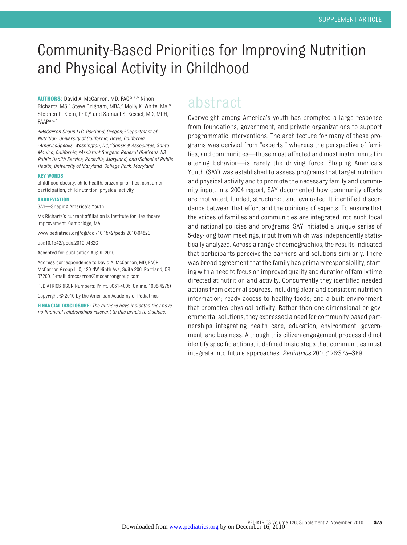## Community-Based Priorities for Improving Nutrition and Physical Activity in Childhood

**AUTHORS:** David A. McCarron, MD, FACP,a,b Ninon Richartz, MS,<sup>a</sup> Steve Brigham, MBA,<sup>c</sup> Molly K. White, MA,<sup>a</sup> Stephen P. Klein, PhD,<sup>d</sup> and Samuel S. Kessel, MD, MPH, FAAPa,e,f

*aMcCarron Group LLC, Portland, Oregon; bDepartment of Nutrition, University of California, Davis, California; c AmericaSpeaks, Washington, DC; dGansk & Associates, Santa Monica, California; <sup>e</sup> Assistant Surgeon General (Retired), US Public Health Service, Rockville, Maryland; and <sup>f</sup> School of Public Health, University of Maryland, College Park, Maryland*

#### **KEY WORDS**

childhood obesity, child health, citizen priorities, consumer participation, child nutrition, physical activity

#### **ABBREVIATION**

SAY—Shaping America's Youth

Ms Richartz's current affiliation is Institute for Healthcare Improvement, Cambridge, MA.

www.pediatrics.org/cgi/doi/10.1542/peds.2010-0482C

doi:10.1542/peds.2010-0482C

Accepted for publication Aug 9, 2010

Address correspondence to David A. McCarron, MD, FACP, McCarron Group LLC, 120 NW Ninth Ave, Suite 206, Portland, OR 97209. E-mail: dmccarron@mccarrongroup.com

PEDIATRICS (ISSN Numbers: Print, 0031-4005; Online, 1098-4275).

Copyright © 2010 by the American Academy of Pediatrics

**FINANCIAL DISCLOSURE:** *The authors have indicated they have no financial relationships relevant to this article to disclose.*

### abstract

Overweight among America's youth has prompted a large response from foundations, government, and private organizations to support programmatic interventions. The architecture for many of these programs was derived from "experts," whereas the perspective of families, and communities—those most affected and most instrumental in altering behavior—is rarely the driving force. Shaping America's Youth (SAY) was established to assess programs that target nutrition and physical activity and to promote the necessary family and community input. In a 2004 report, SAY documented how community efforts are motivated, funded, structured, and evaluated. It identified discordance between that effort and the opinions of experts. To ensure that the voices of families and communities are integrated into such local and national policies and programs, SAY initiated a unique series of 5-day-long town meetings, input from which was independently statistically analyzed. Across a range of demographics, the results indicated that participants perceive the barriers and solutions similarly. There was broad agreement that the family has primary responsibility, starting with a need to focus on improved quality and duration of family time directed at nutrition and activity. Concurrently they identified needed actions from external sources, including clear and consistent nutrition information; ready access to healthy foods; and a built environment that promotes physical activity. Rather than one-dimensional or governmental solutions, they expressed a need for community-based partnerships integrating health care, education, environment, government, and business. Although this citizen-engagement process did not identify specific actions, it defined basic steps that communities must integrate into future approaches. *Pediatrics* 2010;126:S73–S89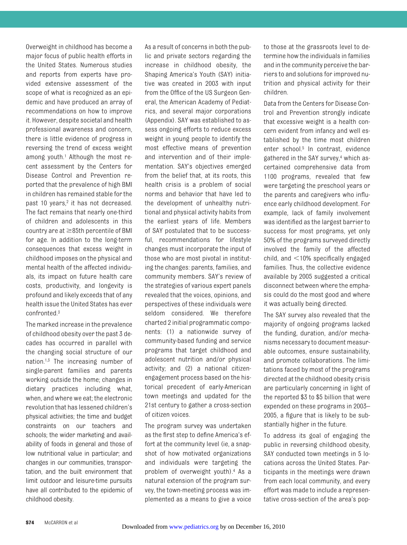Overweight in childhood has become a major focus of public health efforts in the United States. Numerous studies and reports from experts have provided extensive assessment of the scope of what is recognized as an epidemic and have produced an array of recommendations on how to improve it. However, despite societal and health professional awareness and concern, there is little evidence of progress in reversing the trend of excess weight among youth.<sup>1</sup> Although the most recent assessment by the Centers for Disease Control and Prevention reported that the prevalence of high BMI in children has remained stable for the past 10 years,<sup>2</sup> it has not decreased. The fact remains that nearly one-third of children and adolescents in this country are at  $\geq$ 85th percentile of BMI for age. In addition to the long-term consequences that excess weight in childhood imposes on the physical and mental health of the affected individuals, its impact on future health care costs, productivity, and longevity is profound and likely exceeds that of any health issue the United States has ever confronted[.3](#page-17-0)

The marked increase in the prevalence of childhood obesity over the past 3 decades has occurred in parallel with the changing social structure of our nation[.1,3](#page-17-0) The increasing number of single-parent families and parents working outside the home; changes in dietary practices including what, when, and where we eat; the electronic revolution that has lessened children's physical activities; the time and budget constraints on our teachers and schools; the wider marketing and availability of foods in general and those of low nutritional value in particular; and changes in our communities, transportation, and the built environment that limit outdoor and leisure-time pursuits have all contributed to the epidemic of childhood obesity.

As a result of concerns in both the public and private sectors regarding the increase in childhood obesity, the Shaping America's Youth (SAY) initiative was created in 2003 with input from the Office of the US Surgeon General, the American Academy of Pediatrics, and several major corporations (Appendix). SAY was established to assess ongoing efforts to reduce excess weight in young people to identify the most effective means of prevention and intervention and of their implementation. SAY's objectives emerged from the belief that, at its roots, this health crisis is a problem of social norms and behavior that have led to the development of unhealthy nutritional and physical activity habits from the earliest years of life. Members of SAY postulated that to be successful, recommendations for lifestyle changes must incorporate the input of those who are most pivotal in instituting the changes: parents, families, and community members. SAY's review of the strategies of various expert panels revealed that the voices, opinions, and perspectives of these individuals were seldom considered. We therefore charted 2 initial programmatic components: (1) a nationwide survey of community-based funding and service programs that target childhood and adolescent nutrition and/or physical activity; and (2) a national citizenengagement process based on the historical precedent of early-American town meetings and updated for the 21st century to gather a cross-section of citizen voices.

The program survey was undertaken as the first step to define America's effort at the community level (ie, a snapshot of how motivated organizations and individuals were targeting the problem of overweight youth)[.4](#page-17-0) As a natural extension of the program survey, the town-meeting process was implemented as a means to give a voice to those at the grassroots level to determine how the individuals in families and in the community perceive the barriers to and solutions for improved nutrition and physical activity for their children.

Data from the Centers for Disease Control and Prevention strongly indicate that excessive weight is a health concern evident from infancy and well established by the time most children enter school.<sup>5</sup> In contrast, evidence gathered in the SAY survey,<sup>4</sup> which ascertained comprehensive data from 1100 programs, revealed that few were targeting the preschool years or the parents and caregivers who influence early childhood development. For example, lack of family involvement was identified as the largest barrier to success for most programs, yet only 50% of the programs surveyed directly involved the family of the affected child, and  $\leq$ 10% specifically engaged families. Thus, the collective evidence available by 2005 suggested a critical disconnect between where the emphasis could do the most good and where it was actually being directed.

The SAY survey also revealed that the majority of ongoing programs lacked the funding, duration, and/or mechanisms necessary to document measurable outcomes, ensure sustainability, and promote collaborations. The limitations faced by most of the programs directed at the childhood obesity crisis are particularly concerning in light of the reported \$3 to \$5 billion that were expended on these programs in 2003– 2005, a figure that is likely to be substantially higher in the future.

To address its goal of engaging the public in reversing childhood obesity, SAY conducted town meetings in 5 locations across the United States. Participants in the meetings were drawn from each local community, and every effort was made to include a representative cross-section of the area's pop-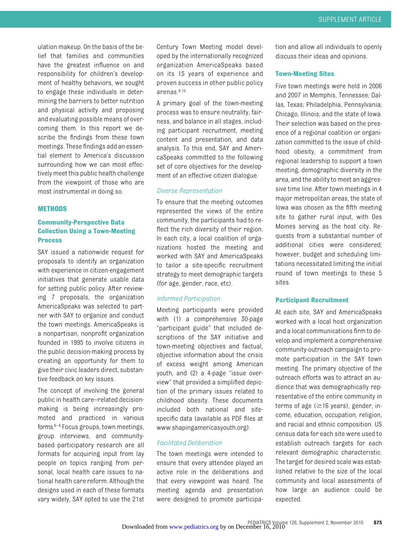ulation makeup. On the basis of the belief that families and communities have the greatest influence on and responsibility for children's development of healthy behaviors, we sought to engage these individuals in determining the barriers to better nutrition and physical activity and proposing and evaluating possible means of overcoming them. In this report we describe the findings from these town meetings. These findings add an essential element to America's discussion surrounding how we can most effectively meet this public health challenge from the viewpoint of those who are most instrumental in doing so.

#### **METHODS**

#### **Community-Perspective Data Collection Using a Town-Meeting Process**

SAY issued a nationwide request for proposals to identify an organization with experience in citizen-engagement initiatives that generate usable data for setting public policy. After reviewing 7 proposals, the organization AmericaSpeaks was selected to partner with SAY to organize and conduct the town meetings. AmericaSpeaks is a nonpartisan, nonprofit organization founded in 1995 to involve citizens in the public decision-making process by creating an opportunity for them to give their civic leaders direct, substantive feedback on key issues.

The concept of involving the general public in health care–related decisionmaking is being increasingly promoted and practiced in various forms. $6-8$  Focus groups, town meetings, group interviews, and communitybased participatory research are all formats for acquiring input from lay people on topics ranging from personal, local health care issues to national health care reform. Although the designs used in each of these formats vary widely, SAY opted to use the 21st

Century Town Meeting model developed by the internationally recognized organization AmericaSpeaks based on its 15 years of experience and proven success in other public policy arenas[.9,10](#page-17-0)

A primary goal of the town-meeting process was to ensure neutrality, fairness, and balance in all stages, including participant recruitment, meeting content and presentation, and data analysis. To this end, SAY and AmericaSpeaks committed to the following set of core objectives for the development of an effective citizen dialogue.

#### *Diverse Representation*

To ensure that the meeting outcomes represented the views of the entire community, the participants had to reflect the rich diversity of their region. In each city, a local coalition of organizations hosted the meeting and worked with SAY and AmericaSpeaks to tailor a site-specific recruitment strategy to meet demographic targets (for age, gender, race, etc).

#### *Informed Participation*

Meeting participants were provided with (1) a comprehensive 30-page "participant guide" that included descriptions of the SAY initiative and town-meeting objectives and factual, objective information about the crisis of excess weight among American youth, and (2) a 4-page "issue overview" that provided a simplified depiction of the primary issues related to childhood obesity. These documents included both national and sitespecific data (available as PDF files at [www.shapingamericasyouth.org\)](www.shapingamericasyouth.org).

#### *Facilitated Deliberation*

The town meetings were intended to ensure that every attendee played an active role in the deliberations and that every viewpoint was heard. The meeting agenda and presentation were designed to promote participation and allow all individuals to openly discuss their ideas and opinions.

#### **Town-Meeting Sites**

Five town meetings were held in 2006 and 2007 in Memphis, Tennessee; Dallas, Texas; Philadelphia, Pennsylvania; Chicago, Illinois; and the state of Iowa. Their selection was based on the presence of a regional coalition or organization committed to the issue of childhood obesity, a commitment from regional leadership to support a town meeting, demographic diversity in the area, and the ability to meet an aggressive time line. After town meetings in 4 major metropolitan areas, the state of Iowa was chosen as the fifth meeting site to gather rural input, with Des Moines serving as the host city. Requests from a substantial number of additional cities were considered; however, budget and scheduling limitations necessitated limiting the initial round of town meetings to these 5 sites.

#### **Participant Recruitment**

At each site, SAY and AmericaSpeaks worked with a local host organization and a local communications firm to develop and implement a comprehensive community-outreach campaign to promote participation in the SAY town meeting. The primary objective of the outreach efforts was to attract an audience that was demographically representative of the entire community in terms of age  $(\geq 16$  years), gender, income, education, occupation, religion, and racial and ethnic composition. US census data for each site were used to establish outreach targets for each relevant demographic characteristic. The target for desired scale was established relative to the size of the local community and local assessments of how large an audience could be expected.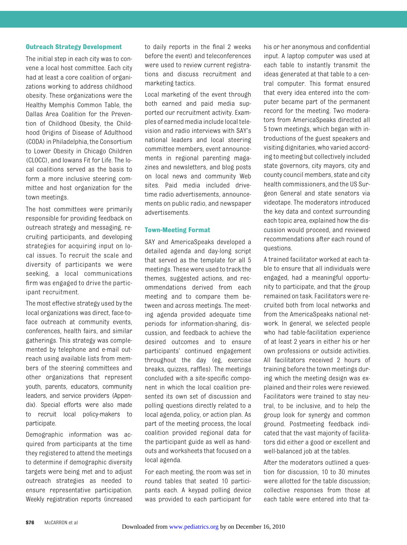#### **Outreach Strategy Development**

The initial step in each city was to convene a local host committee. Each city had at least a core coalition of organizations working to address childhood obesity. These organizations were the Healthy Memphis Common Table, the Dallas Area Coalition for the Prevention of Childhood Obesity, the Childhood Origins of Disease of Adulthood (CODA) in Philadelphia, the Consortium to Lower Obesity in Chicago Children (CLOCC), and Iowans Fit for Life. The local coalitions served as the basis to form a more inclusive steering committee and host organization for the town meetings.

The host committees were primarily responsible for providing feedback on outreach strategy and messaging, recruiting participants, and developing strategies for acquiring input on local issues. To recruit the scale and diversity of participants we were seeking, a local communications firm was engaged to drive the participant recruitment.

The most effective strategy used by the local organizations was direct, face-toface outreach at community events, conferences, health fairs, and similar gatherings. This strategy was complemented by telephone and e-mail outreach using available lists from members of the steering committees and other organizations that represent youth, parents, educators, community leaders, and service providers (Appendix). Special efforts were also made to recruit local policy-makers to participate.

Demographic information was acquired from participants at the time they registered to attend the meetings to determine if demographic diversity targets were being met and to adjust outreach strategies as needed to ensure representative participation. Weekly registration reports (increased to daily reports in the final 2 weeks before the event) and teleconferences were used to review current registrations and discuss recruitment and marketing tactics.

Local marketing of the event through both earned and paid media supported our recruitment activity. Examples of earned media include local television and radio interviews with SAY's national leaders and local steering committee members, event announcements in regional parenting magazines and newsletters, and blog posts on local news and community Web sites. Paid media included drivetime radio advertisements, announcements on public radio, and newspaper advertisements.

#### **Town-Meeting Format**

SAY and AmericaSpeaks developed a detailed agenda and day-long script that served as the template for all 5 meetings. These were used to track the themes, suggested actions, and recommendations derived from each meeting and to compare them between and across meetings. The meeting agenda provided adequate time periods for information-sharing, discussion, and feedback to achieve the desired outcomes and to ensure participants' continued engagement throughout the day (eg, exercise breaks, quizzes, raffles). The meetings concluded with a site-specific component in which the local coalition presented its own set of discussion and polling questions directly related to a local agenda, policy, or action plan. As part of the meeting process, the local coalition provided regional data for the participant guide as well as handouts and worksheets that focused on a local agenda.

For each meeting, the room was set in round tables that seated 10 participants each. A keypad polling device was provided to each participant for his or her anonymous and confidential input. A laptop computer was used at each table to instantly transmit the ideas generated at that table to a central computer. This format ensured that every idea entered into the computer became part of the permanent record for the meeting. Two moderators from AmericaSpeaks directed all 5 town meetings, which began with introductions of the guest speakers and visiting dignitaries, who varied according to meeting but collectively included state governors, city mayors, city and county council members, state and city health commissioners, and the US Surgeon General and state senators via videotape. The moderators introduced the key data and context surrounding each topic area, explained how the discussion would proceed, and reviewed recommendations after each round of questions.

A trained facilitator worked at each table to ensure that all individuals were engaged, had a meaningful opportunity to participate, and that the group remained on task. Facilitators were recruited both from local networks and from the AmericaSpeaks national network. In general, we selected people who had table-facilitation experience of at least 2 years in either his or her own professions or outside activities. All facilitators received 2 hours of training before the town meetings during which the meeting design was explained and their roles were reviewed. Facilitators were trained to stay neutral, to be inclusive, and to help the group look for synergy and common ground. Postmeeting feedback indicated that the vast majority of facilitators did either a good or excellent and well-balanced job at the tables.

After the moderators outlined a question for discussion, 10 to 30 minutes were allotted for the table discussion; collective responses from those at each table were entered into that ta-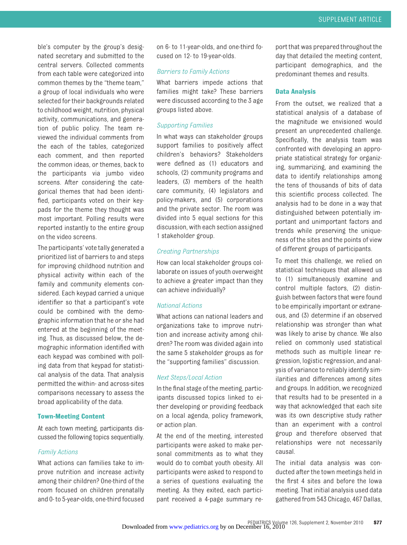ble's computer by the group's designated secretary and submitted to the central servers. Collected comments from each table were categorized into common themes by the "theme team," a group of local individuals who were selected for their backgrounds related to childhood weight, nutrition, physical activity, communications, and generation of public policy. The team reviewed the individual comments from the each of the tables, categorized each comment, and then reported the common ideas, or themes, back to the participants via jumbo video screens. After considering the categorical themes that had been identified, participants voted on their keypads for the theme they thought was most important. Polling results were reported instantly to the entire group on the video screens.

The participants' vote tally generated a prioritized list of barriers to and steps for improving childhood nutrition and physical activity within each of the family and community elements considered. Each keypad carried a unique identifier so that a participant's vote could be combined with the demographic information that he or she had entered at the beginning of the meeting. Thus, as discussed below, the demographic information identified with each keypad was combined with polling data from that keypad for statistical analysis of the data. That analysis permitted the within- and across-sites comparisons necessary to assess the broad applicability of the data.

#### **Town-Meeting Content**

At each town meeting, participants discussed the following topics sequentially.

#### *Family Actions*

What actions can families take to improve nutrition and increase activity among their children? One-third of the room focused on children prenatally and 0- to 5-year-olds, one-third focused

on 6- to 11-year-olds, and one-third focused on 12- to 19-year-olds.

#### *Barriers to Family Actions*

What barriers impede actions that families might take? These barriers were discussed according to the 3 age groups listed above.

#### *Supporting Families*

In what ways can stakeholder groups support families to positively affect children's behaviors? Stakeholders were defined as (1) educators and schools, (2) community programs and leaders, (3) members of the health care community, (4) legislators and policy-makers, and (5) corporations and the private sector. The room was divided into 5 equal sections for this discussion, with each section assigned 1 stakeholder group.

#### *Creating Partnerships*

How can local stakeholder groups collaborate on issues of youth overweight to achieve a greater impact than they can achieve individually?

#### *National Actions*

What actions can national leaders and organizations take to improve nutrition and increase activity among children? The room was divided again into the same 5 stakeholder groups as for the "supporting families" discussion.

#### *Next Steps/Local Action*

In the final stage of the meeting, participants discussed topics linked to either developing or providing feedback on a local agenda, policy framework, or action plan.

At the end of the meeting, interested participants were asked to make personal commitments as to what they would do to combat youth obesity. All participants were asked to respond to a series of questions evaluating the meeting. As they exited, each participant received a 4-page summary report that was prepared throughout the day that detailed the meeting content, participant demographics, and the predominant themes and results.

#### **Data Analysis**

From the outset, we realized that a statistical analysis of a database of the magnitude we envisioned would present an unprecedented challenge. Specifically, the analysis team was confronted with developing an appropriate statistical strategy for organizing, summarizing, and examining the data to identify relationships among the tens of thousands of bits of data this scientific process collected. The analysis had to be done in a way that distinguished between potentially important and unimportant factors and trends while preserving the uniqueness of the sites and the points of view of different groups of participants.

To meet this challenge, we relied on statistical techniques that allowed us to (1) simultaneously examine and control multiple factors, (2) distinguish between factors that were found to be empirically important or extraneous, and (3) determine if an observed relationship was stronger than what was likely to arise by chance. We also relied on commonly used statistical methods such as multiple linear regression, logistic regression, and analysis of variance to reliably identify similarities and differences among sites and groups. In addition, we recognized that results had to be presented in a way that acknowledged that each site was its own descriptive study rather than an experiment with a control group and therefore observed that relationships were not necessarily causal.

The initial data analysis was conducted after the town meetings held in the first 4 sites and before the Iowa meeting. That initial analysis used data gathered from 543 Chicago, 467 Dallas,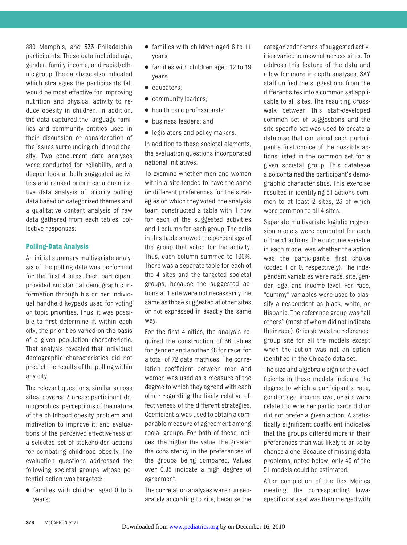880 Memphis, and 333 Philadelphia participants. These data included age, gender, family income, and racial/ethnic group. The database also indicated which strategies the participants felt would be most effective for improving nutrition and physical activity to reduce obesity in children. In addition, the data captured the language families and community entities used in their discussion or consideration of the issues surrounding childhood obesity. Two concurrent data analyses were conducted for reliability, and a deeper look at both suggested activities and ranked priorities: a quantitative data analysis of priority polling data based on categorized themes and a qualitative content analysis of raw data gathered from each tables' collective responses.

#### **Polling-Data Analysis**

An initial summary multivariate analysis of the polling data was performed for the first 4 sites. Each participant provided substantial demographic information through his or her individual handheld keypads used for voting on topic priorities. Thus, it was possible to first determine if, within each city, the priorities varied on the basis of a given population characteristic. That analysis revealed that individual demographic characteristics did not predict the results of the polling within any city.

The relevant questions, similar across sites, covered 3 areas: participant demographics; perceptions of the nature of the childhood obesity problem and motivation to improve it; and evaluations of the perceived effectiveness of a selected set of stakeholder actions for combating childhood obesity. The evaluation questions addressed the following societal groups whose potential action was targeted:

● families with children aged 0 to 5 years;

- families with children aged 6 to 11 years;
- families with children aged 12 to 19 years;
- educators;
- community leaders;
- health care professionals;
- business leaders; and
- legislators and policy-makers.

In addition to these societal elements, the evaluation questions incorporated national initiatives.

To examine whether men and women within a site tended to have the same or different preferences for the strategies on which they voted, the analysis team constructed a table with 1 row for each of the suggested activities and 1 column for each group. The cells in this table showed the percentage of the group that voted for the activity. Thus, each column summed to 100%. There was a separate table for each of the 4 sites and the targeted societal groups, because the suggested actions at 1 site were not necessarily the same as those suggested at other sites or not expressed in exactly the same way.

For the first 4 cities, the analysis required the construction of 36 tables for gender and another 36 for race, for a total of 72 data matrices. The correlation coefficient between men and women was used as a measure of the degree to which they agreed with each other regarding the likely relative effectiveness of the different strategies. Coefficient  $\alpha$  was used to obtain a comparable measure of agreement among racial groups. For both of these indices, the higher the value, the greater the consistency in the preferences of the groups being compared. Values over 0.85 indicate a high degree of agreement.

The correlation analyses were run separately according to site, because the categorized themes of suggested activities varied somewhat across sites. To address this feature of the data and allow for more in-depth analyses, SAY staff unified the suggestions from the different sites into a common set applicable to all sites. The resulting crosswalk between this staff-developed common set of suggestions and the site-specific set was used to create a database that contained each participant's first choice of the possible actions listed in the common set for a given societal group. This database also contained the participant's demographic characteristics. This exercise resulted in identifying 51 actions common to at least 2 sites, 23 of which were common to all 4 sites.

Separate multivariate logistic regression models were computed for each of the 51 actions. The outcome variable in each model was whether the action was the participant's first choice (coded 1 or 0, respectively). The independent variables were race, site, gender, age, and income level. For race, "dummy" variables were used to classify a respondent as black, white, or Hispanic. The reference group was "all others" (most of whom did not indicate their race). Chicago was the referencegroup site for all the models except when the action was not an option identified in the Chicago data set.

The size and algebraic sign of the coefficients in these models indicate the degree to which a participant's race, gender, age, income level, or site were related to whether participants did or did not prefer a given action. A statistically significant coefficient indicates that the groups differed more in their preferences than was likely to arise by chance alone. Because of missing-data problems, noted below, only 45 of the 51 models could be estimated.

After completion of the Des Moines meeting, the corresponding Iowaspecific data set was then merged with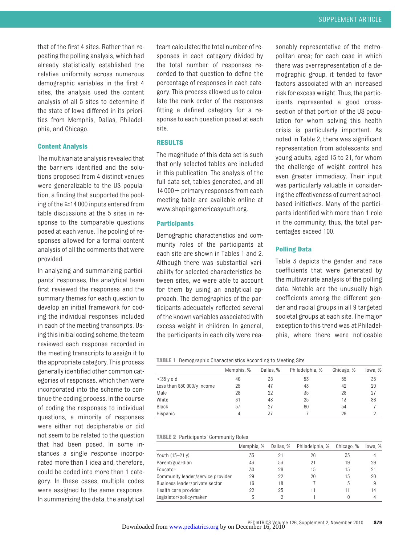that of the first 4 sites. Rather than repeating the polling analysis, which had already statistically established the relative uniformity across numerous demographic variables in the first 4 sites, the analysis used the content analysis of all 5 sites to determine if the state of Iowa differed in its priorities from Memphis, Dallas, Philadelphia, and Chicago.

#### **Content Analysis**

The multivariate analysis revealed that the barriers identified and the solutions proposed from 4 distinct venues were generalizable to the US population, a finding that supported the pooling of the  $\geq$  14 000 inputs entered from table discussions at the 5 sites in response to the comparable questions posed at each venue. The pooling of responses allowed for a formal content analysis of all the comments that were provided.

In analyzing and summarizing participants' responses, the analytical team first reviewed the responses and the summary themes for each question to develop an initial framework for coding the individual responses included in each of the meeting transcripts. Using this initial coding scheme, the team reviewed each response recorded in the meeting transcripts to assign it to the appropriate category. This process generally identified other common categories of responses, which then were incorporated into the scheme to continue the coding process. In the course of coding the responses to individual questions, a minority of responses were either not decipherable or did not seem to be related to the question that had been posed. In some instances a single response incorporated more than 1 idea and, therefore, could be coded into more than 1 category. In these cases, multiple codes were assigned to the same response. In summarizing the data, the analytical

team calculated the total number of responses in each category divided by the total number of responses recorded to that question to define the percentage of responses in each category. This process allowed us to calculate the rank order of the responses fitting a defined category for a response to each question posed at each site.

#### **RESULTS**

The magnitude of this data set is such that only selected tables are included in this publication. The analysis of the full data set, tables generated, and all 14 000 + primary responses from each meeting table are available online at [www.shapingamericasyouth.org.](www.shapingamericasyouth.org)

#### **Participants**

Demographic characteristics and community roles of the participants at each site are shown in Tables 1 and 2. Although there was substantial variability for selected characteristics between sites, we were able to account for them by using an analytical approach. The demographics of the participants adequately reflected several of the known variables associated with excess weight in children. In general, the participants in each city were reasonably representative of the metropolitan area; for each case in which there was overrepresentation of a demographic group, it tended to favor factors associated with an increased risk for excess weight. Thus, the participants represented a good crosssection of that portion of the US population for whom solving this health crisis is particularly important. As noted in Table 2, there was significant representation from adolescents and young adults, aged 15 to 21, for whom the challenge of weight control has even greater immediacy. Their input was particularly valuable in considering the effectiveness of current schoolbased initiatives. Many of the participants identified with more than 1 role in the community; thus, the total percentages exceed 100.

#### **Polling Data**

[Table 3](#page-8-0) depicts the gender and race coefficients that were generated by the multivariate analysis of the polling data. Notable are the unusually high coefficients among the different gender and racial groups in all 9 targeted societal groups at each site. The major exception to this trend was at Philadelphia, where there were noticeable

**TABLE 1** Demographic Characteristics According to Meeting Site

|                             | Memphis, % | Dallas, % | Philadelphia, % | Chicago, % | lowa, % |
|-----------------------------|------------|-----------|-----------------|------------|---------|
| $<$ 35 y old                | 46         | 38        | 53              | 55         | 35      |
| Less than \$50 000/y income | 25         | 47        | 43              | 42         | 29      |
| Male                        | 28         | 22        | 35              | 28         | 27      |
| White                       | 31         | 48        | 25              | 13         | 86      |
| Black                       | 57         | 27        | 60              | 54         |         |
| Hispanic                    | 4          | 37        |                 | 29         |         |

|  | <b>TABLE 2</b> Participants' Community Roles |  |  |
|--|----------------------------------------------|--|--|
|--|----------------------------------------------|--|--|

|                                   | Memphis, % | Dallas, % | Philadelphia, % | Chicago, % | lowa, % |
|-----------------------------------|------------|-----------|-----------------|------------|---------|
| Youth $(15-21)$                   | 33         | 21        | 26              | 35         |         |
| Parent/guardian                   | 43         | 53        | 21              | 19         | 29      |
| Educator                          | 30         | 26        | 15              | 15         | 21      |
| Community leader/service provider | 29         | 22        | 20              | 15         | 20      |
| Business leader/private sector    | 16         | 18        |                 | 5          | 9       |
| Health care provider              | 22         | 25        | 11              |            | 14      |
| Legislator/policy-maker           | 3          |           |                 |            |         |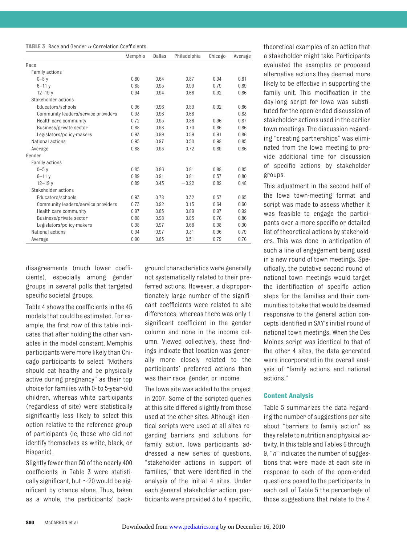<span id="page-8-0"></span>

|                                     | Memphis | Dallas | Philadelphia | Chicago | Average |
|-------------------------------------|---------|--------|--------------|---------|---------|
| Race                                |         |        |              |         |         |
| Family actions                      |         |        |              |         |         |
| $0 - 5$ $v$                         | 0.80    | 0.64   | 0.87         | 0.94    | 0.81    |
| $6 - 11y$                           | 0.85    | 0.95   | 0.99         | 0.79    | 0.89    |
| $12 - 19$ y                         | 0.94    | 0.94   | 0.66         | 0.92    | 0.86    |
| Stakeholder actions                 |         |        |              |         |         |
| Educators/schools                   | 0.96    | 0.96   | 0.59         | 0.92    | 0.86    |
| Community leaders/service providers | 0.93    | 0.96   | 0.68         |         | 0.83    |
| Health care community               | 0.72    | 0.95   | 0.86         | 0.96    | 0.87    |
| Business/private sector             | 0.88    | 0.98   | 0.70         | 0.86    | 0.86    |
| Legislators/policy-makers           | 0.93    | 0.99   | 0.59         | 0.91    | 0.86    |
| National actions                    | 0.95    | 0.97   | 0.50         | 0.98    | 0.85    |
| Average                             | 0.88    | 0.93   | 0.72         | 0.89    | 0.86    |
| Gender                              |         |        |              |         |         |
| Family actions                      |         |        |              |         |         |
| $0 - 5$ $V$                         | 0.85    | 0.86   | 0.81         | 0.88    | 0.85    |
| $6 - 11y$                           | 0.89    | 0.91   | 0.81         | 0.57    | 0.80    |
| $12 - 19$ y                         | 0.89    | 0.43   | $-0.22$      | 0.82    | 0.48    |
| Stakeholder actions                 |         |        |              |         |         |
| Educators/schools                   | 0.93    | 0.78   | 0.32         | 0.57    | 0.65    |
| Community leaders/service providers | 0.73    | 0.92   | 0.13         | 0.64    | 0.60    |
| Health care community               | 0.97    | 0.85   | 0.89         | 0.97    | 0.92    |
| Business/private sector             | 0.88    | 0.98   | 0.83         | 0.76    | 0.86    |
| Legislators/policy-makers           | 0.98    | 0.97   | 0.68         | 0.98    | 0.90    |
| National actions                    | 0.94    | 0.97   | 0.31         | 0.96    | 0.79    |
| Average                             | 0.90    | 0.85   | 0.51         | 0.79    | 0.76    |

disagreements (much lower coefficients), especially among gender groups in several polls that targeted specific societal groups.

[Table 4](#page-9-0) shows the coefficients in the 45 models that could be estimated. For example, the first row of this table indicates that after holding the other variables in the model constant, Memphis participants were more likely than Chicago participants to select "Mothers should eat healthy and be physically active during pregnancy" as their top choice for families with 0- to 5-year-old children, whereas white participants (regardless of site) were statistically significantly less likely to select this option relative to the reference group of participants (ie, those who did not identify themselves as white, black, or Hispanic).

Slightly fewer than 50 of the nearly 400 coefficients in Table 3 were statistically significant, but  $\sim$  20 would be significant by chance alone. Thus, taken as a whole, the participants' background characteristics were generally not systematically related to their preferred actions. However, a disproportionately large number of the significant coefficients were related to site differences, whereas there was only 1 significant coefficient in the gender column and none in the income column. Viewed collectively, these findings indicate that location was generally more closely related to the participants' preferred actions than was their race, gender, or income.

The Iowa site was added to the project in 2007. Some of the scripted queries at this site differed slightly from those used at the other sites. Although identical scripts were used at all sites regarding barriers and solutions for family action, Iowa participants addressed a new series of questions, "stakeholder actions in support of families," that were identified in the analysis of the initial 4 sites. Under each general stakeholder action, participants were provided 3 to 4 specific, theoretical examples of an action that a stakeholder might take. Participants evaluated the examples or proposed alternative actions they deemed more likely to be effective in supporting the family unit. This modification in the day-long script for Iowa was substituted for the open-ended discussion of stakeholder actions used in the earlier town meetings. The discussion regarding "creating partnerships" was eliminated from the Iowa meeting to provide additional time for discussion of specific actions by stakeholder groups.

This adjustment in the second half of the Iowa town-meeting format and script was made to assess whether it was feasible to engage the participants over a more specific or detailed list of theoretical actions by stakeholders. This was done in anticipation of such a line of engagement being used in a new round of town meetings. Specifically, the putative second round of national town meetings would target the identification of specific action steps for the families and their communities to take that would be deemed responsive to the general action concepts identified in SAY's initial round of national town meetings. When the Des Moines script was identical to that of the other 4 sites, the data generated were incorporated in the overall analysis of "family actions and national actions."

#### **Content Analysis**

[Table 5](#page-11-0) summarizes the data regarding the number of suggestions per site about "barriers to family action" as they relate to nutrition and physical activity. In this table and [Tables 6](#page-12-0) through [9,](#page-15-0) "*n*" indicates the number of suggestions that were made at each site in response to each of the open-ended questions posed to the participants. In each cell of [Table 5](#page-11-0) the percentage of those suggestions that relate to the 4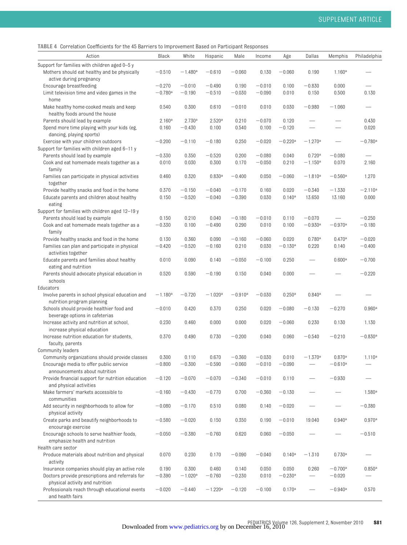<span id="page-9-0"></span>**TABLE 4** Correlation Coefficients for the 45 Barriers to Improvement Based on Participant Responses

| Action<br>White<br>Black<br>Hispanic<br>Male<br>Income<br>Age                                                                                                                                                                           | Dallas                          | Memphis               | Philadelphia         |
|-----------------------------------------------------------------------------------------------------------------------------------------------------------------------------------------------------------------------------------------|---------------------------------|-----------------------|----------------------|
| Support for families with children aged 0-5 y                                                                                                                                                                                           |                                 |                       |                      |
| Mothers should eat healthy and be physically<br>$-0.510$<br>$-1.480$ <sup>a</sup><br>$-0.610$<br>$-0.060$<br>0.130<br>$-0.060$                                                                                                          | 0.190                           | 1.160a                |                      |
| active during pregnancy<br>$-0.270$<br>0.190<br>Encourage breastfeeding<br>$-0.010$<br>$-0.490$<br>$-0.010$<br>0.100                                                                                                                    | $-0.830$                        | 0.000                 |                      |
| $-0.780a$<br>$-0.510$<br>$-0.030$<br>Limit television time and video games in the<br>$-0.190$<br>$-0.090$<br>0.010                                                                                                                      | 0.150                           | 0.500                 | 0.130                |
| home                                                                                                                                                                                                                                    |                                 |                       |                      |
| Make healthy home-cooked meals and keep<br>0.010<br>0.540<br>0.300<br>0.610<br>$-0.010$<br>0.030                                                                                                                                        | $-0.980$                        | $-1.060$              |                      |
| healthy foods around the house                                                                                                                                                                                                          |                                 |                       |                      |
| Parents should lead by example<br>2.160 <sup>a</sup><br>2.730a<br>2.520 <sup>a</sup><br>0.210<br>$-0.070$<br>0.120                                                                                                                      |                                 |                       | 0.430                |
| 0.160<br>$-0.430$<br>0.540<br>0.100<br>$-0.120$<br>Spend more time playing with your kids (eg,<br>0.100                                                                                                                                 |                                 |                       | 0.020                |
| dancing, playing sports)                                                                                                                                                                                                                |                                 |                       |                      |
| Exercise with your children outdoors<br>$-0.200$<br>$-0.110$<br>$-0.180$<br>0.250<br>$-0.020$<br>$-0.220$ <sup>a</sup>                                                                                                                  | $-1.270$ <sup>a</sup>           |                       | $-0.780a$            |
| Support for families with children aged 6-11 y                                                                                                                                                                                          |                                 |                       |                      |
| $-0.520$<br>0.200<br>0.040<br>Parents should lead by example<br>$-0.330$<br>0.350<br>$-0.080$<br>0.030<br>0.170<br>$-0.050$<br>0.210<br>Cook and eat homemade meals together as a<br>0.010<br>0.300                                     | 0.720a<br>$-1.150$ <sup>a</sup> | $-0.080$<br>0.070     | 2.160                |
| family                                                                                                                                                                                                                                  |                                 |                       |                      |
| 0.320<br>Families can participate in physical activities<br>0.460<br>0.830a<br>$-0.400$<br>0.050<br>$-0.060$                                                                                                                            | $-1.810^a$                      | $-0.560a$             | 1.270                |
| together                                                                                                                                                                                                                                |                                 |                       |                      |
| Provide healthy snacks and food in the home<br>0.370<br>$-0.150$<br>$-0.040$<br>$-0.170$<br>0.160<br>0.020                                                                                                                              | $-0.340$                        | $-1.330$              | $-2.110^a$           |
| $-0.520$<br>$-0.390$<br>0.030<br>0.140a<br>Educate parents and children about healthy<br>0.150<br>$-0.040$                                                                                                                              | 13.650                          | 13.160                | 0.000                |
| eating                                                                                                                                                                                                                                  |                                 |                       |                      |
| Support for families with children aged 12-19 y                                                                                                                                                                                         |                                 |                       |                      |
| 0.210<br>Parents should lead by example<br>0.150<br>0.040<br>$-0.180$<br>$-0.010$<br>0.110                                                                                                                                              | $-0.070$                        |                       | $-0.250$             |
| 0.290<br>0.010<br>Cook and eat homemade meals together as a<br>$-0.330$<br>0.100<br>$-0.490$<br>0.100                                                                                                                                   | $-0.930a$                       | $-0.970a$             | $-0.180$             |
| family                                                                                                                                                                                                                                  |                                 |                       |                      |
| Provide healthy snacks and food in the home<br>0.130<br>0.360<br>0.090<br>$-0.160$<br>$-0.060$<br>0.020<br>$-0.520$<br>0.210<br>0.030<br>$-0.130$ <sup>a</sup><br>Families can plan and participate in physical<br>$-0.420$<br>$-0.160$ | 0.780a<br>0.220                 | 0.470a<br>0.140       | $-0.020$<br>$-0.400$ |
| activities together                                                                                                                                                                                                                     |                                 |                       |                      |
| 0.090<br>$-0.050$<br>0.250<br>Educate parents and families about healthy<br>0.010<br>0.140<br>$-0.100$                                                                                                                                  |                                 | 0.600a                | $-0.700$             |
| eating and nutrition                                                                                                                                                                                                                    |                                 |                       |                      |
| Parents should advocate physical education in<br>0.520<br>0.590<br>$-0.190$<br>0.150<br>0.040<br>0.000                                                                                                                                  |                                 |                       | $-0.220$             |
| schools                                                                                                                                                                                                                                 |                                 |                       |                      |
| Educators                                                                                                                                                                                                                               |                                 |                       |                      |
| Involve parents in school physical education and<br>$-1.180a$<br>$-1.020a$<br>$-0.910a$<br>$-0.030$<br>$-0.720$<br>0.250a                                                                                                               | 0.840a                          |                       |                      |
| nutrition program planning                                                                                                                                                                                                              |                                 |                       |                      |
| Schools should provide healthier food and<br>$-0.010$<br>0.420<br>0.370<br>0.250<br>0.020<br>$-0.080$                                                                                                                                   | $-0.130$                        | $-0.270$              | 0.960a               |
| beverage options in cafeterias<br>Increase activity and nutrition at school,<br>0.230<br>0.460<br>0.000<br>0.000<br>0.020<br>$-0.060$                                                                                                   | 0.230                           | 0.130                 | 1.130                |
| increase physical education                                                                                                                                                                                                             |                                 |                       |                      |
| 0.370<br>0.490<br>0.060<br>Increase nutrition education for students,<br>0.730<br>$-0.200$<br>0.040                                                                                                                                     | $-0.540$                        | $-0.210$              | $-0.830a$            |
| faculty, parents                                                                                                                                                                                                                        |                                 |                       |                      |
| <b>Community leaders</b>                                                                                                                                                                                                                |                                 |                       |                      |
| Community organizations should provide classes<br>0.300<br>0.110<br>0.670<br>$-0.360$<br>$-0.030$<br>0.010                                                                                                                              | $-1.370a$                       | 0.870a                | 1.110a               |
| $-0.800$<br>$-0.300$<br>$-0.590$<br>$-0.060$<br>$-0.010$<br>$-0.090$<br>Encourage media to offer public service                                                                                                                         |                                 | $-0.610^{\rm a}$      |                      |
| announcements about nutrition                                                                                                                                                                                                           |                                 |                       |                      |
| Provide financial support for nutrition education<br>$-0.120$<br>$-0.070$<br>$-0.070$<br>$-0.340$<br>$-0.010$<br>0.110                                                                                                                  |                                 | $-0.930$              |                      |
| and physical activities                                                                                                                                                                                                                 |                                 |                       |                      |
| Make farmers' markets accessible to<br>$-0.160$<br>$-0.430$<br>$-0.770$<br>0.700<br>$-0.360$<br>$-0.130$                                                                                                                                |                                 |                       | 1.580a               |
| communities<br>Add security in neighborhoods to allow for<br>0.510<br>0.080<br>0.140<br>$-0.020$<br>$-0.080$<br>$-0.170$                                                                                                                |                                 |                       | $-0.380$             |
| physical activity                                                                                                                                                                                                                       |                                 |                       |                      |
| Create parks and beautify neighborhoods to<br>$-0.010$<br>$-0.580$<br>$-0.020$<br>0.150<br>0.350<br>0.190                                                                                                                               | 19.040                          | 0.940a                | 0.970a               |
| encourage exercise                                                                                                                                                                                                                      |                                 |                       |                      |
| Encourage schools to serve healthier foods,<br>$-0.050$<br>$-0.380$<br>$-0.760$<br>0.620<br>0.060<br>$-0.050$                                                                                                                           |                                 |                       | $-0.510$             |
| emphasize health and nutrition                                                                                                                                                                                                          |                                 |                       |                      |
| Health care sector                                                                                                                                                                                                                      |                                 |                       |                      |
| Produce materials about nutrition and physical<br>0.070<br>0.230<br>0.170<br>$-0.090$<br>$-0.040$<br>$0.140^{\rm a}$                                                                                                                    | $-1.310$                        | 0.730a                |                      |
| activity                                                                                                                                                                                                                                |                                 |                       |                      |
| 0.190<br>0.300<br>0.460<br>0.140<br>0.050<br>0.050<br>Insurance companies should play an active role                                                                                                                                    | 0.260                           | $-0.700a$             | 0.850a               |
| Doctors provide prescriptions and referrals for<br>$-1.020a$<br>$-0.230$<br>0.010<br>$-0.230$ <sup>a</sup><br>$-0.390$<br>$-0.760$                                                                                                      |                                 | $-0.020$              |                      |
| physical activity and nutrition<br>Professionals reach through educational events<br>$-0.020$<br>$-0.440$<br>$-1.220a$<br>$-0.120$<br>$-0.100$<br>0.170a                                                                                |                                 | $-0.940$ <sup>a</sup> | 0.570                |
|                                                                                                                                                                                                                                         |                                 |                       |                      |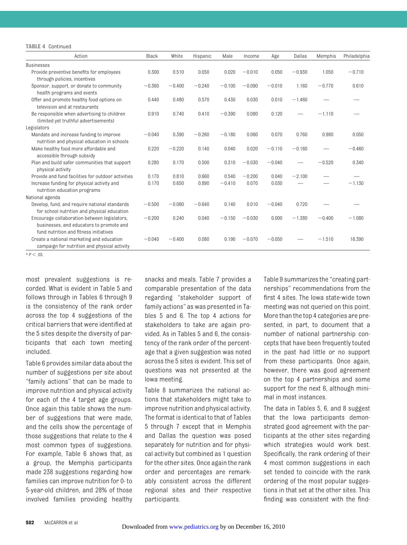#### **TABLE 4** Continued

| Action                                                                                                                             | Black    | White    | Hispanic | Male     | Income   | Age      | Dallas            | Memphis  | Philadelphia |
|------------------------------------------------------------------------------------------------------------------------------------|----------|----------|----------|----------|----------|----------|-------------------|----------|--------------|
| <b>Businesses</b>                                                                                                                  |          |          |          |          |          |          |                   |          |              |
| Provide preventive benefits for employees                                                                                          | 0.300    | 0.510    | 0.050    | 0.020    | $-0.010$ | 0.050    | $-0.930$          | 1.050    | $-0.710$     |
| through policies, incentives                                                                                                       |          |          |          |          |          |          |                   |          |              |
| Sponsor, support, or donate to community<br>health programs and events                                                             | $-0.360$ | $-0.400$ | $-0.240$ | $-0.100$ | $-0.090$ | $-0.010$ | 1.160             | $-0.770$ | 0.610        |
| Offer and promote healthy food options on<br>television and at restaurants                                                         | 0.440    | 0.480    | 0.570    | 0.430    | 0.030    | 0.010    | $-1.460$          |          |              |
| Be responsible when advertising to children<br>(limited yet truthful advertisements)                                               | 0.910    | 0.740    | 0.410    | $-0.390$ | 0.080    | 0.120    |                   | $-1.110$ |              |
| Legislators                                                                                                                        |          |          |          |          |          |          |                   |          |              |
| Mandate and increase funding to improve<br>nutrition and physical education in schools                                             | $-0.040$ | 0.390    | $-0.260$ | $-0.180$ | 0.060    | 0.070    | 0.760             | 0.980    | 0.050        |
| Make healthy food more affordable and<br>accessible through subsidy                                                                | 0.220    | $-0.220$ | 0.140    | 0.040    | 0.020    | $-0.110$ | $-0.160$          |          | $-0.460$     |
| Plan and build safer communities that support<br>physical activity                                                                 | 0.280    | 0.170    | 0.500    | 0.310    | $-0.030$ | $-0.040$ | $\hspace{0.05cm}$ | $-0.520$ | 0.340        |
| Provide and fund facilities for outdoor activities                                                                                 | 0.170    | 0.810    | 0.660    | 0.540    | $-0.200$ | 0.040    | $-2.100$          |          |              |
| Increase funding for physical activity and<br>nutrition education programs                                                         | 0.170    | 0.650    | 0.890    | $-0.410$ | 0.070    | 0.030    |                   |          | $-1.130$     |
| National agenda                                                                                                                    |          |          |          |          |          |          |                   |          |              |
| Develop, fund, and require national standards<br>for school nutrition and physical education                                       | $-0.500$ | $-0.060$ | $-0.640$ | 0.140    | 0.010    | $-0.040$ | 0.720             |          |              |
| Encourage collaboration between legislators.<br>businesses, and educators to promote and<br>fund nutrition and fitness initiatives | $-0.200$ | 0.240    | 0.040    | $-0.150$ | $-0.030$ | 0.000    | $-1.380$          | $-0.400$ | $-1.080$     |
| Create a national marketing and education<br>campaign for nutrition and physical activity                                          | $-0.040$ | $-0.400$ | 0.080    | 0.190    | $-0.070$ | $-0.050$ |                   | $-1.510$ | 16.390       |

 $P < 0.5$ 

most prevalent suggestions is recorded. What is evident in [Table 5](#page-11-0) and follows through in [Tables 6](#page-12-0) through [9](#page-15-0) is the consistency of the rank order across the top 4 suggestions of the critical barriers that were identified at the 5 sites despite the diversity of participants that each town meeting included.

[Table 6](#page-12-0) provides similar data about the number of suggestions per site about "family actions" that can be made to improve nutrition and physical activity for each of the 4 target age groups. Once again this table shows the number of suggestions that were made, and the cells show the percentage of those suggestions that relate to the 4 most common types of suggestions. For example, [Table 6](#page-12-0) shows that, as a group, the Memphis participants made 238 suggestions regarding how families can improve nutrition for 0- to 5-year-old children, and 28% of those involved families providing healthy snacks and meals. [Table 7](#page-13-0) provides a comparable presentation of the data regarding "stakeholder support of family actions" as was presented in [Ta](#page-11-0)[bles 5](#page-11-0) and [6.](#page-12-0) The top 4 actions for stakeholders to take are again provided. As in [Tables 5](#page-11-0) and [6,](#page-12-0) the consistency of the rank order of the percentage that a given suggestion was noted across the 5 sites is evident. This set of questions was not presented at the Iowa meeting.

[Table 8](#page-14-0) summarizes the national actions that stakeholders might take to improve nutrition and physical activity. The format is identical to that of [Tables](#page-11-0) [5](#page-11-0) through [7](#page-13-0) except that in Memphis and Dallas the question was posed separately for nutrition and for physical activity but combined as 1 question for the other sites. Once again the rank order and percentages are remarkably consistent across the different regional sites and their respective participants.

[Table 9](#page-15-0) summarizes the "creating partnerships" recommendations from the first 4 sites. The Iowa state-wide town meeting was not queried on this point. More than the top 4 categories are presented, in part, to document that a number of national partnership concepts that have been frequently touted in the past had little or no support from these participants. Once again, however, there was good agreement on the top 4 partnerships and some support for the next 6, although minimal in most instances.

The data in [Tables 5,](#page-11-0) [6,](#page-12-0) and [8](#page-14-0) suggest that the Iowa participants demonstrated good agreement with the participants at the other sites regarding which strategies would work best. Specifically, the rank ordering of their 4 most common suggestions in each set tended to coincide with the rank ordering of the most popular suggestions in that set at the other sites. This finding was consistent with the find-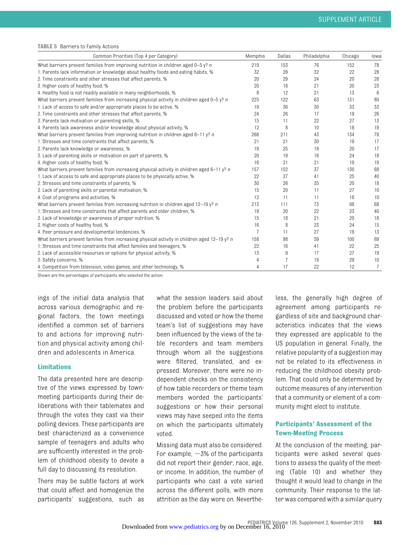<span id="page-11-0"></span>

| Common Priorities (Top 4 per Category)                                                         | Memphis        | Dallas | Philadelphia | Chicago | lowa |
|------------------------------------------------------------------------------------------------|----------------|--------|--------------|---------|------|
| What barriers prevent families from improving nutrition in children aged $0-5$ y? n            | 219            | 153    | 76           | 152     | 78   |
| 1. Parents lack information or knowledge about healthy foods and eating habits, %              | 32             | 29     | 32           | 22      | 28   |
| 2. Time constraints and other stresses that affect parents, %                                  | 20             | 29     | 24           | 20      | 26   |
| 3. Higher costs of healthy food, %                                                             | 20             | 16     | 21           | 20      | 23   |
| 4. Healthy food is not readily available in many neighborhoods, %                              | 8              | 12     | 21           | 13      | 6    |
| What barriers prevent families from increasing physical activity in children aged 0–5 y? n     | 225            | 122    | 63           | 131     | 80   |
| 1. Lack of access to safe and/or appropriate places to be active, %                            | 19             | 36     | 30           | 33      | 33   |
| 2. Time constraints and other stresses that affect parents, %                                  | 24             | 26     | 17           | 19      | 26   |
| 3. Parents lack motivation or parenting skills, %                                              | 15             | 11     | 22           | 27      | 13   |
| 4. Parents lack awareness and/or knowledge about physical activity, %                          | 12             | 8      | 10           | 18      | 19   |
| What barriers prevent families from improving nutrition in children aged $6-11$ y? n           | 266            | 211    | 43           | 134     | 78   |
| 1. Stresses and time constraints that affect parents, %                                        | 21             | 21     | 30           | 19      | 17   |
| 2. Parents lack knowledge or awareness, %                                                      | 19             | 25     | 19           | 20      | 17   |
| 3. Lack of parenting skills or motivation on part of parents, %                                | 20             | 19     | 16           | 24      | 18   |
| 4. Higher costs of healthy food, %                                                             | 16             | 21     | 21           | 19      | 19   |
| What barriers prevent families from increasing physical activity in children aged 6–11 y? n    | 157            | 152    | 37           | 130     | 68   |
| 1. Lack of access to safe and appropriate places to be physically active, %                    | 22             | 27     | 41           | 25      | 40   |
| 2. Stresses and time constraints of parents, %                                                 | 30             | 26     | 35           | 20      | 18   |
| 3. Lack of parenting skills or parental motivation, %                                          | 15             | 20     | 11           | 27      | 10   |
| 4. Cost of programs and activities, %                                                          | 12             | 11     | 11           | 18      | 10   |
| What barriers prevent families from increasing nutrition in children aged $12-19$ y? n         | 213            | 111    | 73           | 98      | 68   |
| 1. Stresses and time constraints that affect parents and older children, %                     | 19             | 20     | 22           | 23      | 40   |
| 2. Lack of knowledge or awareness of proper nutrition, %                                       | 15             | 18     | 21           | 20      | 18   |
| 3. Higher costs of healthy food, %                                                             | 16             | 8      | 23           | 24      | 15   |
| 4. Peer pressure and developmental tendencies, %                                               | $\overline{7}$ | 11     | 27           | 19      | 13   |
| What barriers prevent families from increasing physical activity in children aged $12-19$ y? n | 158            | 98     | 59           | 100     | 69   |
| 1. Stresses and time constraints that affect families and teenagers, %                         | 22             | 16     | 41           | 22      | 25   |
| 2. Lack of accessible resources or options for physical activity, %                            | 13             | 9      | 17           | 27      | 19   |
| 3. Safety concerns, %                                                                          |                | 7      | 19           | 29      | 10   |
| 4. Competition from television, video games, and other technology, %                           | 4              | 17     | 22           | 12      | 7    |

Shown are the percentages of participants who selected the action.

ings of the initial data analysis that across various demographic and regional factors, the town meetings identified a common set of barriers to and actions for improving nutrition and physical activity among children and adolescents in America.

#### **Limitations**

The data presented here are descriptive of the views expressed by townmeeting participants during their deliberations with their tablemates and through the votes they cast via their polling devices. These participants are best characterized as a convenience sample of teenagers and adults who are sufficiently interested in the problem of childhood obesity to devote a full day to discussing its resolution.

There may be subtle factors at work that could affect and homogenize the participants' suggestions, such as

what the session leaders said about the problem before the participants discussed and voted or how the theme team's list of suggestions may have been influenced by the views of the table recorders and team members through whom all the suggestions were filtered, translated, and expressed. Moreover, there were no independent checks on the consistency of how table recorders or theme team members worded the participants' suggestions or how their personal views may have seeped into the items on which the participants ultimately voted.

Missing data must also be considered. For example,  $\sim$ 3% of the participants did not report their gender, race, age, or income. In addition, the number of participants who cast a vote varied across the different polls, with more attrition as the day wore on. Nevertheless, the generally high degree of agreement among participants regardless of site and background characteristics indicates that the views they expressed are applicable to the US population in general. Finally, the relative popularity of a suggestion may not be related to its effectiveness in reducing the childhood obesity problem. That could only be determined by outcome measures of any intervention that a community or element of a community might elect to institute.

#### **Participants' Assessment of the Town-Meeting Process**

At the conclusion of the meeting, participants were asked several questions to assess the quality of the meeting [\(Table 10\)](#page-16-0) and whether they thought it would lead to change in the community. Their response to the latter was compared with a similar query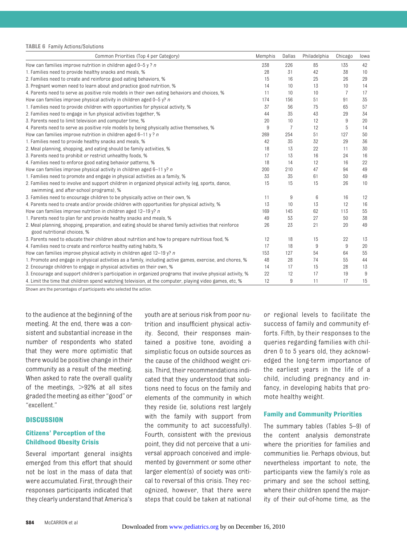#### <span id="page-12-0"></span>**TABLE 6** Family Actions/Solutions

| Common Priorities (Top 4 per Category)                                                                                                         | Memphis | Dallas         | Philadelphia | Chicago | lowa |
|------------------------------------------------------------------------------------------------------------------------------------------------|---------|----------------|--------------|---------|------|
| How can families improve nutrition in children aged $0-5y$ ? <i>n</i>                                                                          | 238     | 226            | 85           | 135     | 42   |
| 1. Families need to provide healthy snacks and meals, %                                                                                        | 28      | 31             | 42           | 38      | 10   |
| 2. Families need to create and reinforce good eating behaviors, %                                                                              | 15      | 16             | 25           | 26      | 29   |
| 3. Pregnant women need to learn about and practice good nutrition, %                                                                           | 14      | 10             | 13           | 10      | 14   |
| 4. Parents need to serve as positive role models in their own eating behaviors and choices, %                                                  | 11      | 10             | 10           | 7       | 17   |
| How can families improve physical activity in children aged $0-5$ y? n                                                                         | 174     | 156            | 51           | 91      | 35   |
| 1. Families need to provide children with opportunities for physical activity, %                                                               | 37      | 56             | 75           | 65      | 57   |
| 2. Families need to engage in fun physical activities together, %                                                                              | 44      | 35             | 43           | 29      | 34   |
| 3. Parents need to limit television and computer time, %                                                                                       | 20      | 10             | 12           | 9       | 20   |
| 4. Parents need to serve as positive role models by being physically active themselves, %                                                      | 9       | $\overline{7}$ | 12           | 5       | 14   |
| How can families improve nutrition in children aged 6-11 y ? n                                                                                 | 269     | 254            | 51           | 127     | 50   |
| 1. Families need to provide healthy snacks and meals, %                                                                                        | 42      | 35             | 32           | 29      | 36   |
| 2. Meal planning, shopping, and eating should be family activities, %                                                                          | 18      | 13             | 22           | 11      | 30   |
| 3. Parents need to prohibit or restrict unhealthy foods, %                                                                                     | 17      | 13             | 16           | 24      | 16   |
| 4. Families need to enforce good eating behavior patterns, %                                                                                   | 18      | 14             | 12           | 16      | 22   |
| How can families improve physical activity in children aged 6-11 y? $n$                                                                        | 200     | 210            | 47           | 94      | 49   |
| 1. Families need to promote and engage in physical activities as a family, %                                                                   | 33      | 35             | 61           | 50      | 49   |
| 2. Families need to involve and support children in organized physical activity (eg, sports, dance,<br>swimming, and after-school programs), % | 15      | 15             | 15           | 26      | 10   |
| 3. Families need to encourage children to be physically active on their own, %                                                                 | 11      | 9              | 6            | 16      | 12   |
| 4. Parents need to create and/or provide children with opportunities for physical activity, %                                                  | 13      | 10             | 13           | 12      | 16   |
| How can families improve nutrition in children aged $12-19$ y? n                                                                               | 169     | 145            | 62           | 113     | 55   |
| 1. Parents need to plan for and provide healthy snacks and meals, %                                                                            | 49      | 53             | 27           | 50      | 38   |
| 2. Meal planning, shopping, preparation, and eating should be shared family activities that reinforce<br>good nutritional choices, %           | 26      | 23             | 21           | 20      | 49   |
| 3. Parents need to educate their children about nutrition and how to prepare nutritious food, %                                                | 12      | 18             | 15           | 22      | 13   |
| 4. Families need to create and reinforce healthy eating habits, %                                                                              | 17      | 18             | 9            | 9       | 20   |
| How can families improve physical activity in children aged $12-19$ y? n                                                                       | 153     | 127            | 54           | 64      | 55   |
| 1. Promote and engage in physical activities as a family, including active games, exercise, and chores, %                                      | 48      | 28             | 74           | 55      | 44   |
| 2. Encourage children to engage in physical activities on their own, %                                                                         | 14      | 17             | 15           | 28      | 13   |
| 3. Encourage and support children's participation in organized programs that involve physical activity, %                                      | 22      | 12             | 17           | 19      | 9    |
| 4. Limit the time that children spend watching television, at the computer, playing video games, etc, %                                        | 12      | 9              | 11           | 17      | 15   |

Shown are the percentages of participants who selected the action.

to the audience at the beginning of the meeting. At the end, there was a consistent and substantial increase in the number of respondents who stated that they were more optimistic that there would be positive change in their community as a result of the meeting. When asked to rate the overall quality of the meetings,  $>92\%$  at all sites graded the meeting as either "good" or "excellent."

#### **DISCUSSION**

#### **Citizens' Perception of the Childhood Obesity Crisis**

Several important general insights emerged from this effort that should not be lost in the mass of data that were accumulated. First, through their responses participants indicated that they clearly understand that America's

youth are at serious risk from poor nutrition and insufficient physical activity. Second, their responses maintained a positive tone, avoiding a simplistic focus on outside sources as the cause of the childhood weight crisis. Third, their recommendations indicated that they understood that solutions need to focus on the family and elements of the community in which they reside (ie, solutions rest largely with the family with support from the community to act successfully). Fourth, consistent with the previous point, they did not perceive that a universal approach conceived and implemented by government or some other larger element(s) of society was critical to reversal of this crisis. They recognized, however, that there were steps that could be taken at national

or regional levels to facilitate the success of family and community efforts. Fifth, by their responses to the queries regarding families with children 0 to 5 years old, they acknowledged the long-term importance of the earliest years in the life of a child, including pregnancy and infancy, in developing habits that promote healthy weight.

#### **Family and Community Priorities**

The summary tables [\(Tables 5–](#page-11-0)9) of the content analysis demonstrate where the priorities for families and communities lie. Perhaps obvious, but nevertheless important to note, the participants view the family's role as primary and see the school setting, where their children spend the majority of their out-of-home time, as the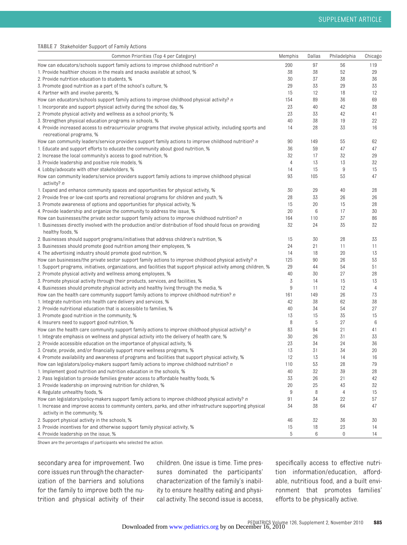<span id="page-13-0"></span>**TABLE 7** Stakeholder Support of Family Actions

| Common Priorities (Top 4 per Category)                                                                                        | Memphis        | Dallas | Philadelphia | Chicago |
|-------------------------------------------------------------------------------------------------------------------------------|----------------|--------|--------------|---------|
| How can educators/schools support family actions to improve childhood nutrition? n                                            | 200            | 97     | 56           | 119     |
| 1. Provide healthier choices in the meals and snacks available at school, %                                                   | 38             | 38     | 52           | 29      |
| 2. Provide nutrition education to students, %                                                                                 | 30             | 37     | 38           | 36      |
| 3. Promote good nutrition as a part of the school's culture, %                                                                | 29             | 33     | 29           | 33      |
| 4. Partner with and involve parents, %                                                                                        | 15             | 12     | 18           | 12      |
| How can educators/schools support family actions to improve childhood physical activity? n                                    | 154            | 89     | 36           | 69      |
| 1. Incorporate and support physical activity during the school day, %                                                         | 23             | 40     | 42           | 38      |
| 2. Promote physical activity and wellness as a school priority, %                                                             | 23             | 33     | 42           | 41      |
| 3. Strengthen physical education programs in schools, %                                                                       | 40             | 38     | 19           | 22      |
| 4. Provide increased access to extracurricular programs that involve physical activity, including sports and                  | 14             | 28     | 33           | 16      |
| recreational programs, %                                                                                                      |                |        |              |         |
| How can community leaders/service providers support family actions to improve childhood nutrition? n                          | 90             | 149    | 55           | 62      |
| 1. Educate and support efforts to educate the community about good nutrition, %                                               | 36             | 59     | 47           | 47      |
| 2. Increase the local community's access to good nutrition, %                                                                 | 32             | 17     | 32           | 29      |
| 3. Provide leadership and positive role models, %                                                                             | $\overline{4}$ | 13     | 13           | 32      |
| 4. Lobby/advocate with other stakeholders, %                                                                                  | 14             | 15     | 9            | 15      |
| How can community leaders/service providers support family actions to improve childhood physical                              | 93             | 105    | 53           | 47      |
| activity? n                                                                                                                   |                |        |              |         |
| 1. Expand and enhance community spaces and opportunities for physical activity, %                                             | 30             | 29     | 40           | 28      |
| 2. Provide free or low-cost sports and recreational programs for children and youth, %                                        | 28             | 33     | 26           | 26      |
| 3. Promote awareness of options and opportunities for physical activity, %                                                    | 15             | 20     | 15           | 28      |
| 4. Provide leadership and organize the community to address the issue, %                                                      | 20             | 6      | 17           | 30      |
| How can businesses/the private sector support family actions to improve childhood nutrition? n                                | 164            | 110    | 37           | 86      |
| 1. Businesses directly involved with the production and/or distribution of food should focus on providing<br>healthy foods, % | 32             | 24     | 35           | 32      |
| 2. Businesses should support programs/initiatives that address children's nutrition, %                                        | 15             | 30     | 28           | 33      |
| 3. Businesses should promote good nutrition among their employees, %                                                          | 24             | 21     | 11           | 11      |
| 4. The advertising industry should promote good nutrition, %                                                                  | 14             | 18     | 20           | 13      |
| How can businesses/the private sector support family actions to improve childhood physical activity? n                        | 125            | 90     | 26           | 53      |
| 1. Support programs, initiatives, organizations, and facilities that support physical activity among children, %              | 29             | 44     | 54           | 51      |
| 2. Promote physical activity and wellness among employees, %                                                                  | 40             | 30     | 27           | 28      |
| 3. Promote physical activity through their products, services, and facilities, %                                              | 3              | 14     | 15           | 13      |
| 4. Businesses should promote physical activity and healthy living through the media, %                                        | 9              | 11     | 12           | 4       |
| How can the health care community support family actions to improve childhood nutrition? n                                    | 161            | 149    | 26           | 73      |
| 1. Integrate nutrition into health care delivery and services, %                                                              | 42             | 38     | 62           | 38      |
| 2. Provide nutritional education that is accessible to families, %                                                            | 40             | 34     | 54           | 27      |
| 3. Promote good nutrition in the community, %                                                                                 | 13             | 15     | 35           | 15      |
| 4. Insurers need to support good nutrition, %                                                                                 | 8              | 5      | 27           | 6       |
| How can the health care community support family actions to improve childhood physical activity? n                            | 83             | 94     | 21           | 41      |
| 1. Integrate emphasis on wellness and physical activity into the delivery of health care, %                                   | 30             | 26     | 31           | 33      |
| 2. Provide accessible education on the importance of physical activity, %                                                     | 23             | 34     | 24           | 36      |
| 3. Create, provide, and/or financially support more wellness programs, %                                                      | 13             | 31     | 34           | 20      |
| 4. Promote availability and awareness of programs and facilities that support physical activity, %                            | 12             | 13     | 14           | 16      |
| How can legislators/policy-makers support family actions to improve childhood nutrition? n                                    | 110            | 53     | 28           | 79      |
| 1. Implement good nutrition and nutrition education in the schools, %                                                         | 40             | 32     | 39           | 28      |
| 2. Pass legislation to provide families greater access to affordable healthy foods, %                                         | 33             | 26     | 21           | 42      |
| 3. Provide leadership on improving nutrition for children, %                                                                  | 20             | 25     | 43           | 32      |
| 4. Regulate unhealthy foods, %                                                                                                | 9              | 8      | 4            | 15      |
| How can legislators/policy-makers support family actions to improve childhood physical activity? n                            | 91             | 34     | 22           | 57      |
| 1. Increase and improve access to community centers, parks, and other infrastructure supporting physical                      | 34             | 38     | 64           | 47      |
| activity in the community, %                                                                                                  |                |        |              |         |
| 2. Support physical activity in the schools, %                                                                                | 46             | 32     | 36           | 30      |
| 3. Provide incentives for and otherwise support family physical activity, %                                                   | 15             | 18     | 23           | 14      |
| 4. Provide leadership on the issue, %                                                                                         | 5              | 6      | $\bf{0}$     | 14      |

Shown are the percentages of participants who selected the action.

secondary area for improvement. Two core issues run through the characterization of the barriers and solutions for the family to improve both the nutrition and physical activity of their children. One issue is time. Time pressures dominated the participants' characterization of the family's inability to ensure healthy eating and physical activity. The second issue is access, specifically access to effective nutrition information/education, affordable, nutritious food, and a built environment that promotes families' efforts to be physically active.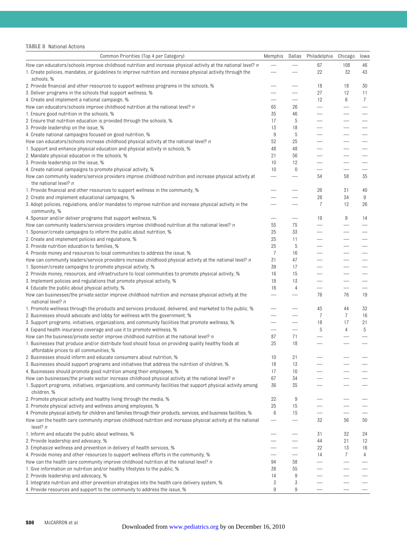#### <span id="page-14-0"></span>**TABLE 8** National Actions

| Common Priorities (Top 4 per Category)                                                                                       | Memphis                        |                          | Dallas Philadelphia      | Chicago                     | lowa                            |
|------------------------------------------------------------------------------------------------------------------------------|--------------------------------|--------------------------|--------------------------|-----------------------------|---------------------------------|
| How can educators/schools improve childhood nutrition and increase physical activity at the national level? n                |                                |                          | 67                       | 108                         | 46                              |
| 1. Create policies, mandates, or guidelines to improve nutrition and increase physical activity through the                  |                                |                          | 22                       | 32                          | 43                              |
| schools, %                                                                                                                   |                                |                          |                          |                             |                                 |
| 2. Provide financial and other resources to support wellness programs in the schools, %                                      |                                |                          | 18                       | 18                          | 30                              |
| 3. Deliver programs in the schools that support wellness, %                                                                  | $\overline{\phantom{0}}$       | $\overline{\phantom{0}}$ | 27                       | 12                          | 11                              |
| 4. Create and implement a national campaign, %                                                                               |                                | —                        | 12                       | 6                           | $\overline{7}$                  |
| How can educators/schools improve childhood nutrition at the national level? n                                               | 65                             | 26                       | $\overline{\phantom{0}}$ |                             |                                 |
| 1. Ensure good nutrition in the schools, %                                                                                   | 35                             | 46                       |                          |                             |                                 |
| 2. Ensure that nutrition education is provided through the schools, %                                                        | 17                             | 5                        |                          |                             |                                 |
| 3. Provide leadership on the issue, %                                                                                        | 13                             | 18                       | $\overline{\phantom{0}}$ |                             | $\qquad \qquad -$               |
| 4. Create national campaigns focused on good nutrition, %                                                                    | 9                              | 5                        |                          |                             | $\overline{\phantom{m}}$        |
| How can educators/schools increase childhood physical activity at the national level? n                                      | 52                             | 25                       |                          | $\overbrace{\hspace{15em}}$ | $\overbrace{\phantom{aaaaa}}$   |
| 1. Support and enhance physical education and physical activity in schools, %                                                | 48                             | 48                       | $\overline{\phantom{0}}$ |                             | $\qquad \qquad -$               |
| 2. Mandate physical education in the schools, %                                                                              | 21                             | 56                       |                          |                             |                                 |
| 3. Provide leadership on the issue, %                                                                                        | 10                             | 12                       |                          |                             |                                 |
| 4. Create national campaigns to promote physical activity, %                                                                 | 10                             | $\boldsymbol{0}$         |                          |                             |                                 |
| How can community leaders/service providers improve childhood nutrition and increase physical activity at                    |                                |                          | 54                       | 58                          | 35                              |
| the national level? n                                                                                                        |                                |                          |                          |                             |                                 |
| 1. Provide financial and other resources to support wellness in the community, %                                             |                                |                          | 26                       | 31                          | 40                              |
| 2. Create and implement educational campaigns, %                                                                             | $\overline{\phantom{0}}$       | $\overline{\phantom{0}}$ | 28                       | 34                          | 9                               |
| 3. Adopt policies, regulations, and/or mandates to improve nutrition and increase physical activity in the                   |                                |                          | 7                        | 12                          | 26                              |
| community, %                                                                                                                 |                                |                          |                          |                             |                                 |
| 4. Sponsor and/or deliver programs that support wellness, %                                                                  |                                |                          | 19                       | 9                           | 14                              |
| How can community leaders/service providers improve childhood nutrition at the national level? n                             | 55                             | 75                       |                          |                             |                                 |
| 1. Sponsor/create campaigns to inform the public about nutrition, %                                                          | 25                             | 33                       |                          |                             |                                 |
| 2. Create and implement policies and regulations, %                                                                          | 25                             | 11                       |                          |                             |                                 |
| 3. Provide nutrition education to families, %                                                                                | 25                             | 5                        |                          |                             | $\overbrace{\phantom{aaaaa}}$   |
| 4. Provide money and resources to local communities to address the issue, %                                                  | 7                              | 16                       | $\overline{\phantom{0}}$ |                             | $\qquad \qquad -$               |
| How can community leaders/service providers increase childhood physical activity at the national level? n                    | 31                             | 47                       |                          |                             | $\overline{\phantom{m}}$        |
| 1. Sponsor/create campaigns to promote physical activity, %                                                                  | 39                             | 17                       |                          | $\overbrace{\hspace{15em}}$ | $\hspace{0.1mm}-\hspace{0.1mm}$ |
| 2. Provide money, resources, and infrastructure to local communities to promote physical activity, %                         | 16                             | 15                       | $\overline{\phantom{0}}$ |                             | $\hspace{0.1mm}-\hspace{0.1mm}$ |
| 3. Implement policies and regulations that promote physical activity, %                                                      | 19                             | 13                       |                          |                             |                                 |
| 4. Educate the public about physical activity, %                                                                             | 16<br>$\overline{\phantom{0}}$ | $\overline{4}$           |                          | $\overbrace{\hspace{15em}}$ |                                 |
| How can businesses/the private sector improve childhood nutrition and increase physical activity at the<br>national level? n |                                |                          | 76                       | 76                          | 19                              |
| 1. Promote wellness through the products and services produced, delivered, and marketed to the public, %                     |                                |                          |                          | 44                          |                                 |
| 2. Businesses should advocate and lobby for wellness with the government, %                                                  | -                              |                          | 45<br>7                  | 7                           | 32<br>16                        |
| 3. Support programs, initiatives, organizations, and community facilities that promote wellness, %                           |                                |                          | 18                       | 17                          | 21                              |
| 4. Expand health insurance coverage and use it to promote wellness, %                                                        | $\overbrace{\hspace{15em}}$    |                          | 5                        | $\overline{4}$              | 5                               |
| How can the business/private sector improve childhood nutrition at the national level? n                                     | 87                             | 71                       |                          |                             |                                 |
| 1. Businesses that produce and/or distribute food should focus on providing quality healthy foods at                         | 25                             | 18                       |                          |                             |                                 |
| affordable prices to all communities, %                                                                                      |                                |                          |                          |                             |                                 |
| 2. Businesses should inform and educate consumers about nutrition, %                                                         | 10                             | 21                       |                          |                             |                                 |
| 3. Businesses should support programs and initiatives that address the nutrition of children, %                              | 18                             | 13                       |                          |                             |                                 |
| 4. Businesses should promote good nutrition among their employees, %                                                         | 17                             | 10                       |                          |                             |                                 |
| How can businesses/the private sector increase childhood physical activity at the national level? n                          | 67                             | 34                       |                          |                             |                                 |
| 1. Support programs, initiatives, organizations, and community facilities that support physical activity among               | 36                             | 35                       |                          |                             |                                 |
| children, %                                                                                                                  |                                |                          |                          |                             |                                 |
| 2. Promote physical activity and healthy living through the media, %                                                         | 22                             | 9                        |                          |                             |                                 |
| 3. Promote physical activity and wellness among employees, %                                                                 | 25                             | 15                       |                          |                             |                                 |
| 4. Promote physical activity for children and families through their products, services, and business facilities, %          | 6                              | 15                       | -                        |                             |                                 |
| How can the health care community improve childhood nutrition and increase physical activity at the national                 |                                |                          | 32                       | 56                          | 50                              |
| level? $n$                                                                                                                   |                                |                          |                          |                             |                                 |
| 1. Inform and educate the public about wellness, %                                                                           |                                |                          | 31                       | 32                          | 24                              |
| 2. Provide leadership and advocacy, %                                                                                        |                                |                          | 44                       | 21                          | 12                              |
| 3. Emphasize wellness and prevention in delivery of health services, %                                                       |                                | $\overline{\phantom{0}}$ | 22                       | 13                          | 16                              |
| 4. Provide money and other resources to support wellness efforts in the community, %                                         |                                |                          | 14                       | 7                           | 4                               |
| How can the health care community improve childhood nutrition at the national level? n                                       | 94                             | 58                       |                          |                             |                                 |
| 1. Give information on nutrition and/or healthy lifestyles to the public, %                                                  | 38                             | 55                       |                          |                             |                                 |
| 2. Provide leadership and advocacy, %                                                                                        | 14                             | 9                        |                          |                             |                                 |
| 3. Integrate nutrition and other prevention strategies into the health care delivery system, %                               | 3                              | 3                        |                          |                             |                                 |
| 4. Provide resources and support to the community to address the issue, %                                                    | 9                              | 9                        |                          |                             |                                 |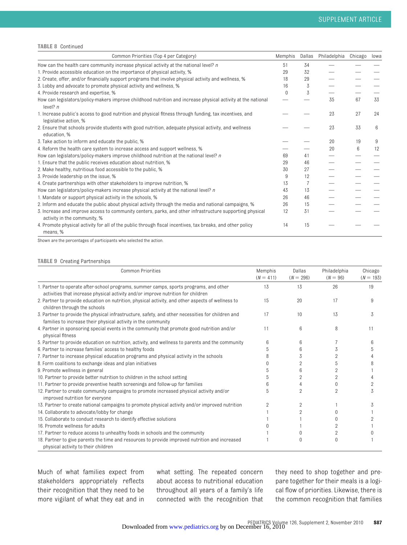#### <span id="page-15-0"></span>**TABLE 8** Continued

| Common Priorities (Top 4 per Category)                                                                                                   | Memphis  | Dallas | Philadelphia | Chicago | lowa |
|------------------------------------------------------------------------------------------------------------------------------------------|----------|--------|--------------|---------|------|
| How can the health care community increase physical activity at the national level? $n$                                                  | 51       | 34     |              |         |      |
| 1. Provide accessible education on the importance of physical activity, %                                                                | 29       | 32     |              |         |      |
| 2. Create, offer, and/or financially support programs that involve physical activity and wellness, %                                     | 18       | 29     |              |         |      |
| 3. Lobby and advocate to promote physical activity and wellness, %                                                                       | 16       | 3      |              |         |      |
| 4. Provide research and expertise, %                                                                                                     | $\Omega$ | 3      |              |         |      |
| How can legislators/policy-makers improve childhood nutrition and increase physical activity at the national<br>level? $n$               |          |        | 35           | 67      | 33   |
| 1. Increase public's access to good nutrition and physical fitness through funding, tax incentives, and<br>legislative action, %         |          |        | 23           | 27      | 24   |
| 2. Ensure that schools provide students with good nutrition, adequate physical activity, and wellness<br>education, %                    |          |        | 23           | 33      | 6    |
| 3. Take action to inform and educate the public, %                                                                                       |          |        | 20           | 19      | 9    |
| 4. Reform the health care system to increase access and support wellness, %                                                              |          |        | 20           | 6       | 12   |
| How can legislators/policy-makers improve childhood nutrition at the national level? n                                                   | 69       | 41     |              |         |      |
| 1. Ensure that the public receives education about nutrition, %                                                                          | 29       | 46     |              |         |      |
| 2. Make healthy, nutritious food accessible to the public, %                                                                             | 30       | 27     |              |         |      |
| 3. Provide leadership on the issue, %                                                                                                    | 9        | 12     |              |         |      |
| 4. Create partnerships with other stakeholders to improve nutrition, %                                                                   | 13       | 7      |              |         |      |
| How can legislators/policy-makers increase physical activity at the national level? n                                                    | 43       | 13     |              |         |      |
| 1. Mandate or support physical activity in the schools, %                                                                                | 26       | 46     |              |         |      |
| 2. Inform and educate the public about physical activity through the media and national campaigns, %                                     | 26       | 15     |              |         |      |
| 3. Increase and improve access to community centers, parks, and other infrastructure supporting physical<br>activity in the community, % | 12       | 31     |              |         |      |
| 4. Promote physical activity for all of the public through fiscal incentives, tax breaks, and other policy<br>means, %                   | 14       | 15     |              |         |      |

Shown are the percentages of participants who selected the action.

#### **TABLE 9** Creating Partnerships

| <b>Common Priorities</b>                                                                                                                                                  | Memphis<br>$(N = 411)$ | Dallas<br>$(N = 296)$ | Philadelphia<br>$(N = 96)$ | Chicago<br>$(N = 193)$ |
|---------------------------------------------------------------------------------------------------------------------------------------------------------------------------|------------------------|-----------------------|----------------------------|------------------------|
| 1. Partner to operate after-school programs, summer camps, sports programs, and other<br>activities that increase physical activity and/or improve nutrition for children | 13                     | 13                    | 26                         | 19                     |
| 2. Partner to provide education on nutrition, physical activity, and other aspects of wellness to<br>children through the schools                                         | 15                     | 20                    | 17                         | 9                      |
| 3. Partner to provide the physical infrastructure, safety, and other necessities for children and<br>families to increase their physical activity in the community        | 17                     | 10                    | 13                         | 3                      |
| 4. Partner in sponsoring special events in the community that promote good nutrition and/or<br>physical fitness                                                           | 11                     | 6                     | 8                          | 11                     |
| 5. Partner to provide education on nutrition, activity, and wellness to parents and the community                                                                         | <sup>6</sup>           | 6                     |                            | 6                      |
| 6. Partner to increase families' access to healthy foods                                                                                                                  |                        | 6                     | 3                          | 5                      |
| 7. Partner to increase physical education programs and physical activity in the schools                                                                                   |                        | 3                     |                            |                        |
| 8. Form coalitions to exchange ideas and plan initiatives                                                                                                                 |                        |                       |                            |                        |
| 9. Promote wellness in general                                                                                                                                            |                        | 6                     |                            |                        |
| 10. Partner to provide better nutrition to children in the school setting                                                                                                 |                        |                       |                            |                        |
| 11. Partner to provide preventive health screenings and follow-up for families                                                                                            |                        |                       |                            | 2                      |
| 12. Partner to create community campaigns to promote increased physical activity and/or<br>improved nutrition for everyone                                                |                        | 2                     | 2                          |                        |
| 13. Partner to create national campaigns to promote physical activity and/or improved nutrition                                                                           |                        | 2                     |                            | 3                      |
| 14. Collaborate to advocate/lobby for change                                                                                                                              |                        |                       |                            |                        |
| 15. Collaborate to conduct research to identify effective solutions                                                                                                       |                        |                       |                            |                        |
| 16. Promote wellness for adults                                                                                                                                           |                        |                       |                            |                        |
| 17. Partner to reduce access to unhealthy foods in schools and the community                                                                                              |                        |                       |                            |                        |
| 18. Partner to give parents the time and resources to provide improved nutrition and increased<br>physical activity to their children                                     |                        | 0                     | $\Omega$                   |                        |

Much of what families expect from stakeholders appropriately reflects their recognition that they need to be more vigilant of what they eat and in

what setting. The repeated concern about access to nutritional education throughout all years of a family's life connected with the recognition that they need to shop together and prepare together for their meals is a logical flow of priorities. Likewise, there is the common recognition that families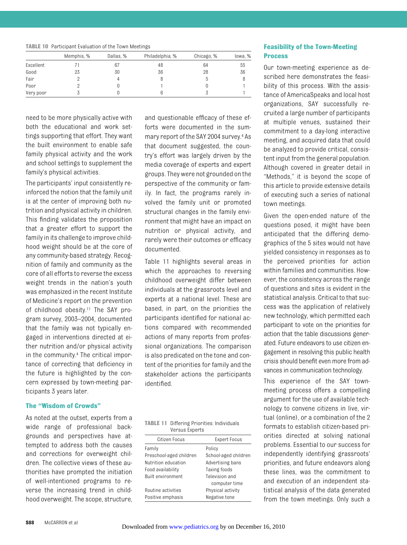| hood overweigh |  |
|----------------|--|

As noted at the outset, experts from a wide range of professional backgrounds and perspectives have attempted to address both the causes and corrections for overweight children. The collective views of these authorities have prompted the initiation of well-intentioned programs to reverse the increasing trend in childhood overweight. The scope, structure,

need to be more physically active with both the educational and work settings supporting that effort. They want the built environment to enable safe family physical activity and the work and school settings to supplement the family's physical activities.

<span id="page-16-0"></span>**TABLE 10** Participant Evaluation of the Town Meetings

The participants' input consistently reinforced the notion that the family unit is at the center of improving both nutrition and physical activity in children. This finding validates the proposition that a greater effort to support the family in its challenge to improve childhood weight should be at the core of any community-based strategy. Recognition of family and community as the core of all efforts to reverse the excess weight trends in the nation's youth was emphasized in the recent Institute of Medicine's report on the prevention of childhood obesity[.11](#page-17-0) The SAY program survey, 2003–2004, documented that the family was not typically engaged in interventions directed at either nutrition and/or physical activity in the community[.4](#page-17-0) The critical importance of correcting that deficiency in the future is highlighted by the concern expressed by town-meeting participants 3 years later.

#### **The "Wisdom of Crowds"**

and questionable efficacy of these efforts were documented in the summary report of the SAY 2004 survey[.4](#page-17-0) As that document suggested, the country's effort was largely driven by the media coverage of experts and expert groups. They were not grounded on the perspective of the community or family. In fact, the programs rarely involved the family unit or promoted structural changes in the family environment that might have an impact on nutrition or physical activity, and rarely were their outcomes or efficacy documented.

Memphis, % Dallas, % Philadelphia, % Chicago, % Iowa, %

Excellent 71 67 48 64 55 Good 23 30 36 28 36 Fair 2 4 8 5 8 Poor 2 0 1 0 1 Very poor 3 0 6 3 1

> Table 11 highlights several areas in which the approaches to reversing childhood overweight differ between individuals at the grassroots level and experts at a national level. These are based, in part, on the priorities the participants identified for national actions compared with recommended actions of many reports from professional organizations. The comparison is also predicated on the tone and content of the priorities for family and the stakeholder actions the participants identified.

**TABLE 11** Differing Priorities: Individuals Versus Experts

| Citizen Focus            | <b>Expert Focus</b>  |
|--------------------------|----------------------|
| Family                   | Policy               |
| Preschool-aged children  | School-aged children |
| Nutrition education      | Advertising bans     |
| Food availability        | Taxing foods         |
| <b>Built environment</b> | Television and       |
|                          | computer time        |
| Routine activities       | Physical activity    |
| Positive emphasis        | Negative tone        |
|                          |                      |

#### **Feasibility of the Town-Meeting Process**

Our town-meeting experience as described here demonstrates the feasibility of this process. With the assistance of AmericaSpeaks and local host organizations, SAY successfully recruited a large number of participants at multiple venues, sustained their commitment to a day-long interactive meeting, and acquired data that could be analyzed to provide critical, consistent input from the general population. Although covered in greater detail in "Methods," it is beyond the scope of this article to provide extensive details of executing such a series of national town meetings.

Given the open-ended nature of the questions posed, it might have been anticipated that the differing demographics of the 5 sites would not have yielded consistency in responses as to the perceived priorities for action within families and communities. However, the consistency across the range of questions and sites is evident in the statistical analysis. Critical to that success was the application of relatively new technology, which permitted each participant to vote on the priorities for action that the table discussions generated. Future endeavors to use citizen engagement in resolving this public health crisis should benefit even more from advances in communication technology.

This experience of the SAY townmeeting process offers a compelling argument for the use of available technology to convene citizens in live, virtual (online), or a combination of the 2 formats to establish citizen-based priorities directed at solving national problems. Essential to our success for independently identifying grassroots' priorities, and future endeavors along these lines, was the commitment to and execution of an independent statistical analysis of the data generated from the town meetings. Only such a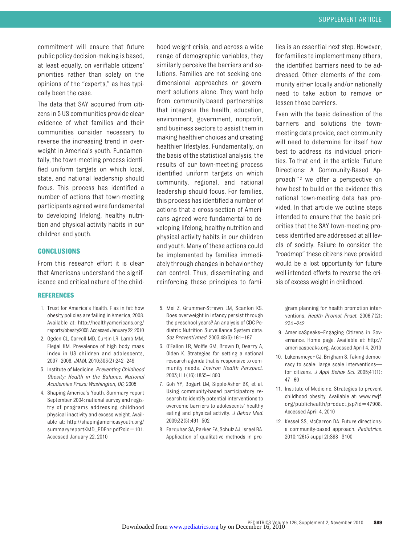<span id="page-17-0"></span>commitment will ensure that future public policy decision-making is based, at least equally, on verifiable citizens' priorities rather than solely on the opinions of the "experts," as has typically been the case.

The data that SAY acquired from citizens in 5 US communities provide clear evidence of what families and their communities consider necessary to reverse the increasing trend in overweight in America's youth. Fundamentally, the town-meeting process identified uniform targets on which local, state, and national leadership should focus. This process has identified a number of actions that town-meeting participants agreed were fundamental to developing lifelong, healthy nutrition and physical activity habits in our children and youth.

#### **CONCLUSIONS**

From this research effort it is clear that Americans understand the significance and critical nature of the child-

#### **REFERENCES**

- 1. Trust for America's Health. F as in fat: how obesity policies are failing in America, 2008. Available at: http://healthyamericans.org/ reports/obesity2008.Accessed January22,2010
- 2. Ogden CL, Carroll MD, Curtin LR, Lamb MM, Flegal KM. Prevalence of high body mass index in US children and adolescents, 2007–2008. *JAMA*. 2010;303(3):242–249
- 3. Institute of Medicine. *Preventing Childhood Obesity: Health in the Balance. National Academies Press: Washington, DC*; 2005
- 4. Shaping America's Youth. Summary report September 2004: national survey and registry of programs addressing childhood physical inactivity and excess weight. Available at: [http://shapingamericasyouth.org/](http://shapingamericasyouth.org/summaryreportKMD_PDFhr.pdf?cid=101) [summaryreportKMD\\_PDFhr.pdf?cid](http://shapingamericasyouth.org/summaryreportKMD_PDFhr.pdf?cid=101)=101. Accessed January 22, 2010

hood weight crisis, and across a wide range of demographic variables, they similarly perceive the barriers and solutions. Families are not seeking onedimensional approaches or government solutions alone. They want help from community-based partnerships that integrate the health, education, environment, government, nonprofit, and business sectors to assist them in making healthier choices and creating healthier lifestyles. Fundamentally, on the basis of the statistical analysis, the results of our town-meeting process identified uniform targets on which community, regional, and national leadership should focus. For families, this process has identified a number of actions that a cross-section of Americans agreed were fundamental to developing lifelong, healthy nutrition and physical activity habits in our children and youth. Many of these actions could be implemented by families immediately through changes in behavior they can control. Thus, disseminating and reinforcing these principles to fami-

- 5. Mei Z, Grummer-Strawn LM, Scanlon KS. Does overweight in infancy persist through the preschool years? An analysis of CDC Pediatric Nutrition Surveillance System data. *Soz Praventivmed*. 2003;48(3):161–167
- 6. O'Fallon LR, Wolfle GM, Brown D, Dearry A, Olden K. Strategies for setting a national research agenda that is responsive to community needs. *Environ Health Perspect*. 2003;111(16):1855–1860
- 7. Goh YY, Bogart LM, Sipple-Asher BK, et al. Using community-based participatory research to identify potential interventions to overcome barriers to adolescents' healthy eating and physical activity. *J Behav Med*. 2009;32(5):491–502
- 8. Farquhar SA, Parker EA, Schulz AJ, Israel BA. Application of qualitative methods in pro-

lies is an essential next step. However, for families to implement many others, the identified barriers need to be addressed. Other elements of the community either locally and/or nationally need to take action to remove or lessen those barriers.

Even with the basic delineation of the barriers and solutions the townmeeting data provide, each community will need to determine for itself how best to address its individual priorities. To that end, in the article "Future Directions: A Community-Based Approach"12 we offer a perspective on how best to build on the evidence this national town-meeting data has provided. In that article we outline steps intended to ensure that the basic priorities that the SAY town-meeting process identified are addressed at all levels of society. Failure to consider the "roadmap" these citizens have provided would be a lost opportunity for future well-intended efforts to reverse the crisis of excess weight in childhood.

gram planning for health promotion interventions. *Health Promot Pract*. 2006;7(2): 234 –242

- 9. AmericaSpeaks–Engaging Citizens in Governance. Home page. Available at: [http://](http://americaspeaks.org) [americaspeaks.org.](http://americaspeaks.org) Accessed April 4, 2010
- 10. Lukensmeyer CJ, Brigham S. Taking democracy to scale: large scale interventions for citizens. *J Appl Behav Sci*. 2005;41(1):  $47 - 60$
- 11. Institute of Medicine. Strategies to prevent childhood obesity. Available at: [www.rwjf.](www.rwjf.org/publichealth/product.jsp?id=47908) [org/publichealth/product.jsp?id](www.rwjf.org/publichealth/product.jsp?id=47908)=47908. Accessed April 4, 2010
- 12. Kessel SS, McCarron DA. Future directions: a community-based approach. *Pediatrics*. 2010;126(5 suppl 2):S98 –S100